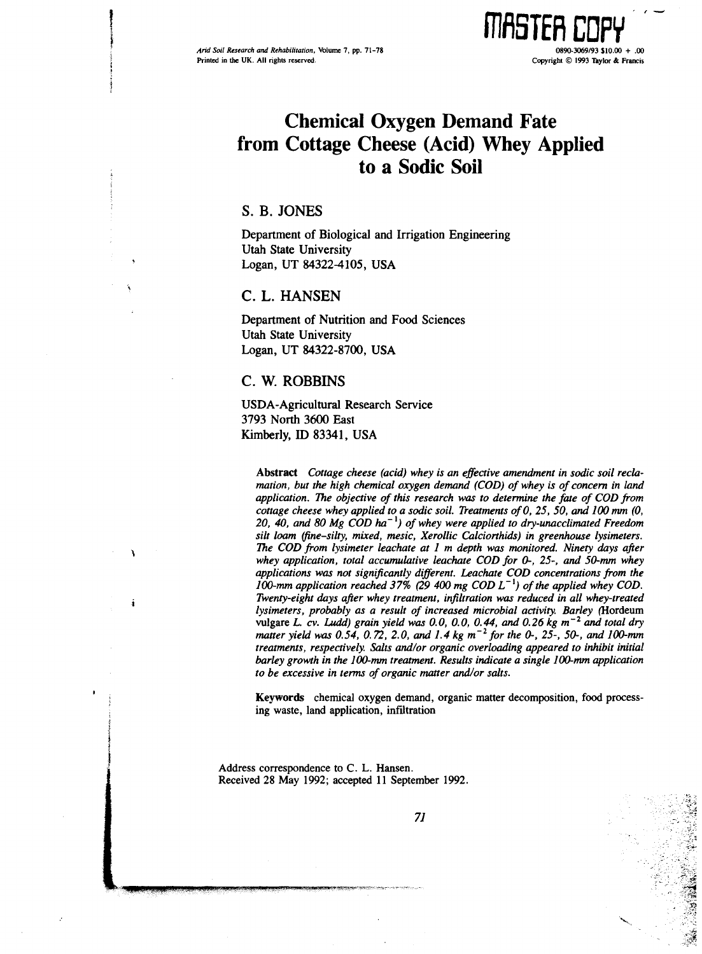

# Chemical Oxygen Demand Fate from Cottage Cheese (Acid) Whey Applied to a Sodic Soil

## S. B. JONES

Department of Biological and Irrigation Engineering Utah State University Logan, UT 84322-4105, USA

### C. L. HANSEN

Department of Nutrition and Food Sciences Utah State University Logan, UT 84322-8700, USA

## C. W. ROBBINS

USDA-Agricultural Research Service 3793 North 3600 East Kimberly, ID 83341, USA

Abstract Cottage cheese (acid) whey is an effective amendment in sodic soil reclamation, but the high chemical oxygen demand (COD) of whey is of concern in land application. The objective of this research was to determine the fate of COD from cottage cheese whey applied to a sodic soil. Treatments of 0, 25, 50, and 100 mm (0, 20, 40, and 80 Mg  $\widehat{ COD}$  ha<sup>-1</sup>) of whey were applied to dry-unacclimated Freedom silt loam (fine-silty, mixed, mesic, Xerollic Calciorthids) in greenhouse lysimeters. The COD from lysimeter leachate at 1 m depth was monitored. Ninety days after whey application, total accumulative leachate COD for 0-, 25-, and 50-mm whey applications was not significantly different. Leachate COD concentrations from the 100-mm application reached 37% (29 400 mg COD  $L^{-1}$ ) of the applied whey COD. Twenty-eight days after whey treatment, infiltration was reduced in all whey-treated lysimeters, probably as a result of increased microbial activity. Barley (Hordeum vulgare L. cv. Ludd) grain yield was 0.0, 0.0, 0.44, and 0.26 kg  $m^{-2}$  and total dry matter yield was 0.54, 0.72, 2.0, and 1.4 kg  $m^{-2}$  for the 0-, 25-, 50-, and 100-mm treatments, respectively. Salts and/or organic overloading appeared to inhibit initial barley growth in the 100-mm treatment. Results indicate a single 100-mm application to be excessive in terms of organic matter and/or salts.

Keywords chemical oxygen demand, organic matter decomposition, food processing waste, land application, infiltration

Address correspondence to C. L. Hansen. Received 28 May 1992; accepted 11 September 1992.

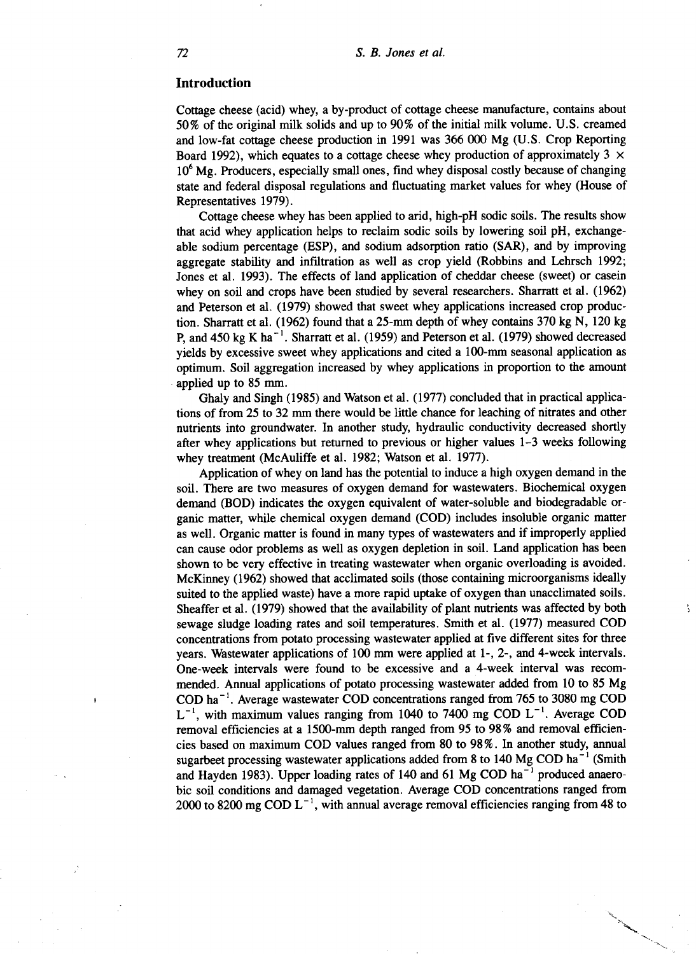#### **Introduction**

Cottage cheese (acid) whey, a by-product of cottage cheese manufacture, contains about 50% of the original milk solids and up to 90% of the initial milk volume. U.S. creamed and low-fat cottage cheese production in 1991 was 366 000 Mg (U.S. Crop Reporting Board 1992), which equates to a cottage cheese whey production of approximately 3  $\times$ 10<sup>6</sup> Mg. Producers, especially small ones, find whey disposal costly because of changing state and federal disposal regulations and fluctuating market values for whey (House of Representatives 1979).

Cottage cheese whey has been applied to arid, high-pH sodic soils. The results show that acid whey application helps to reclaim sodic soils by lowering soil pH, exchangeable sodium percentage (ESP), and sodium adsorption ratio (SAR), and by improving aggregate stability and infiltration as well as crop yield (Robbins and Lehrsch 1992; Jones et al. 1993). The effects of land application of cheddar cheese (sweet) or casein whey on soil and crops have been studied by several researchers. Sharratt et al. (1962) and Peterson et al. (1979) showed that sweet whey applications increased crop production. Sharratt et al. (1962) found that a 25-mm depth of whey contains 370 kg N, 120 kg P, and 450 kg K ha<sup>-1</sup>. Sharratt et al. (1959) and Peterson et al. (1979) showed decreased yields by excessive sweet whey applications and cited a 100-mm seasonal application as optimum. Soil aggregation increased by whey applications in proportion to the amount applied up to 85 mm.

Ghaly and Singh (1985) and Watson et al. (1977) concluded that in practical applications of from 25 to 32 mm there would be little chance for leaching of nitrates and other nutrients into groundwater. In another study, hydraulic conductivity decreased shortly after whey applications but returned to previous or higher values 1-3 weeks following whey treatment (McAuliffe et al. 1982; Watson et al. 1977).

Application of whey on land has the potential to induce a high oxygen demand in the soil. There are two measures of oxygen demand for wastewaters. Biochemical oxygen demand (BOD) indicates the oxygen equivalent of water-soluble and biodegradable organic matter, while chemical oxygen demand (COD) includes insoluble organic matter as well. Organic matter is found in many types of wastewaters and if improperly applied can cause odor problems as well as oxygen depletion in soil. Land application has been shown to be very effective in treating wastewater when organic overloading is avoided. McKinney (1962) showed that acclimated soils (those containing microorganisms ideally suited to the applied waste) have a more rapid uptake of oxygen than unacclimated soils. Sheaffer et al. (1979) showed that the availability of plant nutrients was affected by both sewage sludge loading rates and soil temperatures. Smith et al. (1977) measured COD concentrations from potato processing wastewater applied at five different sites for three years. Wastewater applications of 100 mm were applied at 1-, 2-, and 4-week intervals. One-week intervals were found to be excessive and a 4-week interval was recommended. Annual applications of potato processing wastewater added from 10 to 85 Mg COD ha<sup> $-1$ </sup>. Average wastewater COD concentrations ranged from 765 to 3080 mg COD  $L^{-1}$ , with maximum values ranging from 1040 to 7400 mg COD  $L^{-1}$ . Average COD removal efficiencies at a 1500-mm depth ranged from 95 to 98% and removal efficiencies based on maximum COD values ranged from 80 to 98%. In another study, annual sugarbeet processing wastewater applications added from 8 to 140 Mg COD ha<sup> $-1$ </sup> (Smith and Hayden 1983). Upper loading rates of 140 and 61 Mg COD  $ha^{-1}$  produced anaerobic soil conditions and damaged vegetation. Average COD concentrations ranged from 2000 to 8200 mg COD  $L^{-1}$ , with annual average removal efficiencies ranging from 48 to

ţ.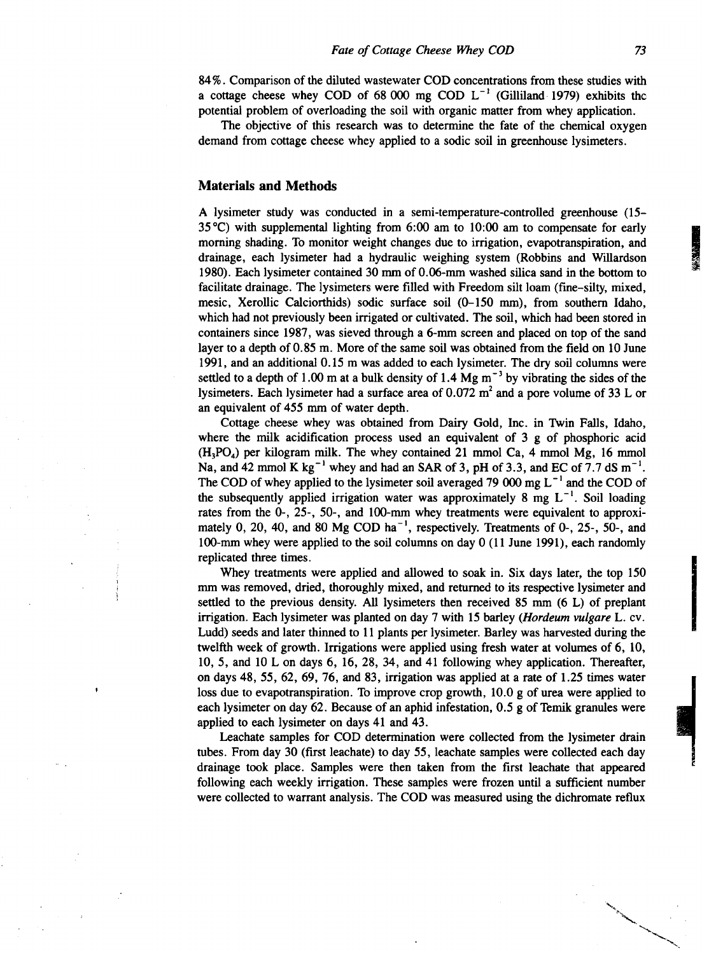84%. Comparison of the diluted wastewater COD concentrations from these studies with a cottage cheese whey COD of 68 000 mg COD  $L^{-1}$  (Gilliland 1979) exhibits the potential problem of overloading the soil with organic matter from whey application.

The objective of this research was to determine the fate of the chemical oxygen demand from cottage cheese whey applied to a sodic soil in greenhouse lysimeters.

#### **Materials and Methods**

A lysimeter study was conducted in a semi-temperature-controlled greenhouse (15- 35 °C) with supplemental lighting from 6:00 am to 10:00 am to compensate for early morning shading. To monitor weight changes due to irrigation, evapotranspiration, and drainage, each lysimeter had a hydraulic weighing system (Robbins and Willardson 1980). Each lysimeter contained 30 mm of 0.06-mm washed silica sand in the bottom to facilitate drainage. The lysimeters were filled with Freedom silt loam (fine-silty, mixed, mesic, Xerollic Calciorthids) sodic surface soil (0-150 mm), from southern Idaho, which had not previously been irrigated or cultivated. The soil, which had been stored in containers since 1987, was sieved through a 6-mm screen and placed on top of the sand layer to a depth of 0.85 m. More of the same soil was obtained from the field on 10 June 1991, and an additional 0.15 m was added to each lysimeter. The dry soil columns were settled to a depth of 1.00 m at a bulk density of 1.4 Mg  $m^{-3}$  by vibrating the sides of the lysimeters. Each lysimeter had a surface area of  $0.072$  m<sup>2</sup> and a pore volume of 33 L or an equivalent of 455 mm of water depth.

Cottage cheese whey was obtained from Dairy Gold, Inc. in Twin Falls, Idaho, where the milk acidification process used an equivalent of 3 g of phosphoric acid  $(H_3PO_4)$  per kilogram milk. The whey contained 21 mmol Ca, 4 mmol Mg, 16 mmol Na, and 42 mmol K kg<sup>-1</sup> whey and had an SAR of 3, pH of 3.3, and EC of 7.7 dS  $m^{-1}$ . The COD of whey applied to the lysimeter soil averaged 79 000 mg  $L^{-1}$  and the COD of the subsequently applied irrigation water was approximately 8 mg  $L^{-1}$ . Soil loading rates from the 0-, 25-, 50-, and 100-mm whey treatments were equivalent to approximately 0, 20, 40, and 80 Mg COD ha<sup> $-1$ </sup>, respectively. Treatments of 0-, 25-, 50-, and 100-mm whey were applied to the soil columns on day 0 (11 June 1991), each randomly replicated three times.

Whey treatments were applied and allowed to soak in. Six days later, the top 150 mm was removed, dried, thoroughly mixed, and returned to its respective lysimeter and settled to the previous density. All lysimeters then received 85 mm (6 L) of preplant irrigation. Each lysimeter was planted on day 7 with 15 barley *(Hordeum vulgare* L. cv. Ludd) seeds and later thinned to 11 plants per lysimeter. Barley was harvested during the twelfth week of growth. Irrigations were applied using fresh water at volumes of 6, 10, 10, 5, and 10 L on days 6, 16, 28, 34, and 41 following whey application. Thereafter, on days 48, 55, 62, 69, 76, and 83, irrigation was applied at a rate of 1.25 times water loss due to evapotranspiration. To improve crop growth, 10.0 g of urea were applied to each lysimeter on day 62. Because of an aphid infestation, 0.5 g of Temik granules were applied to each lysimeter on days 41 and 43.

Leachate samples for COD determination were collected from the lysimeter drain tubes. From day 30 (first leachate) to day 55, leachate samples were collected each day drainage took place. Samples were then taken from the first leachate that appeared following each weekly irrigation. These samples were frozen until a sufficient number were collected to warrant analysis. The COD was measured using the dichromate reflux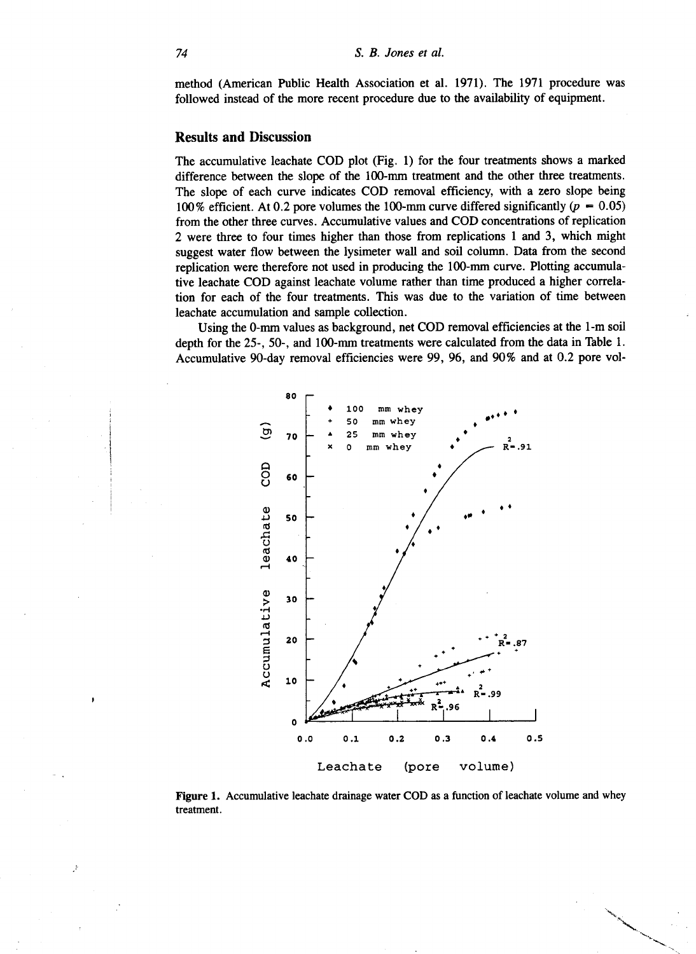method (American Public Health Association et al. 1971). The 1971 procedure was followed instead of the more recent procedure due to the availability of equipment.

#### **Results and Discussion**

The accumulative leachate COD plot (Fig. 1) for the four treatments shows a marked difference between the slope of the 100-mm treatment and the other three treatments. The slope of each curve indicates COD removal efficiency, with a zero slope being 100% efficient. At 0.2 pore volumes the 100-mm curve differed significantly *(p —* 0.05) from the other three curves. Accumulative values and COD concentrations of replication 2 were three to four times higher than those from replications 1 and 3, which might suggest water flow between the lysimeter wall and soil column. Data from the second replication were therefore not used in producing the 100-mm curve. Plotting accumulative leachate COD against leachate volume rather than time produced a higher correlation for each of the four treatments. This was due to the variation of time between leachate accumulation and sample collection.

Using the 0-mm values as background, net COD removal efficiencies at the 1-m soil depth for the 25-, 50-, and 100-mm treatments were calculated from the data in Table 1. Accumulative 90-day removal efficiencies were 99, 96, and 90% and at 0.2 pore vol-



**Figure 1.** Accumulative leachate drainage water COD as a function of leachate volume and whey treatment.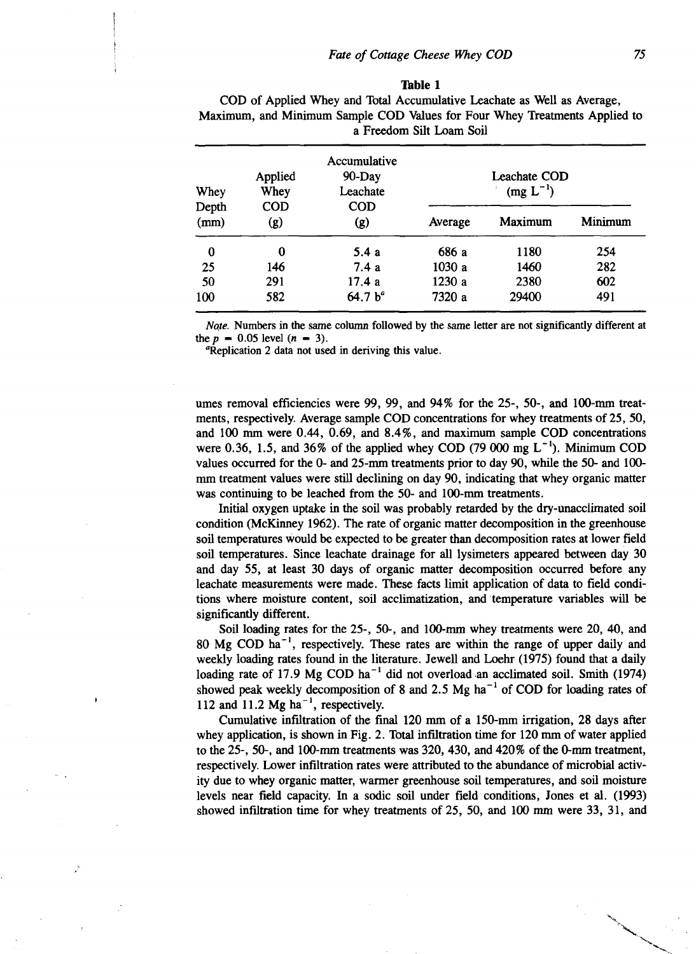#### **Table 1**

|               | ITERISISMELLI WILD ITERISISMELL DWILLING QQD THAWWD IVA I UWA 'TAIW' IFFORMILIOLIC SPICILIOW VO<br>a Freedom Silt Loam Soil |                                    |         |                               |         |
|---------------|-----------------------------------------------------------------------------------------------------------------------------|------------------------------------|---------|-------------------------------|---------|
| Whey          | Applied<br>Whey                                                                                                             | Accumulative<br>90-Day<br>Leachate |         | Leachate COD<br>$(mg L^{-1})$ |         |
| Depth<br>(mm) | <b>COD</b><br>(g)                                                                                                           | <b>COD</b><br>(g)                  | Average | Maximum                       | Minimum |
| $\bf{0}$      | 0                                                                                                                           | 5.4a                               | 686 a   | 1180                          | 254     |
| 25            | 146                                                                                                                         | 7.4a                               | 1030 a  | 1460                          | 282     |
| 50            | 291                                                                                                                         | 17.4 a                             | 1230 a  | 2380                          | 602     |
| 100           | 582                                                                                                                         | 64.7 b <sup>a</sup>                | 7320 a  | 29400                         | 491     |

COD of Applied Whey and Total Accumulative Leachate as Well as Average, Maximum, and Minimum Sample COD Values for Four Whey Treatments Applied to

*Noe.* Numbers in the same column followed by the same letter are not significantly different at the  $p = 0.05$  level  $(n = 3)$ .

'Replication 2 data not used in deriving this value.

umes removal efficiencies were 99, 99, and 94% for the 25-, 50-, and 100-mm treatments, respectively. Average sample COD concentrations for whey treatments of 25, 50, and 100 mm were 0.44, 0.69, and 8.4%, and maximum sample COD concentrations were 0.36, 1.5, and 36% of the applied whey COD (79 000 mg  $L^{-1}$ ). Minimum COD values occurred for the 0- and 25-mm treatments prior to day 90, while the 50- and 100 mm treatment values were still declining on day 90, indicating that whey organic matter was continuing to be leached from the 50- and 100-mm treatments.

Initial oxygen uptake in the soil was probably retarded by the dry-unacclimated soil condition (McKinney 1962). The rate of organic matter decomposition in the greenhouse soil temperatures would be expected to be greater than decomposition rates at lower field soil temperatures. Since leachate drainage for all lysimeters appeared between day 30 and day 55, at least 30 days of organic matter decomposition occurred before any leachate measurements were made. These facts limit application of data to field conditions where moisture content, soil acclimatization, and temperature variables will be significantly different.

Soil loading rates for the 25-, 50-, and 100-mm whey treatments were 20, 40, and 80 Mg COD  $ha^{-1}$ , respectively. These rates are within the range of upper daily and weekly loading rates found in the literature. Jewell and Loehr (1975) found that a daily loading rate of 17.9 Mg COD ha<sup>-1</sup> did not overload an acclimated soil. Smith (1974) showed peak weekly decomposition of 8 and 2.5 Mg ha<sup> $-1$ </sup> of COD for loading rates of 112 and 11.2 Mg ha<sup> $-1$ </sup>, respectively.

Cumulative infiltration of the final 120 mm of a 150-mm irrigation, 28 days after whey application, is shown in Fig. 2. Total infiltration time for 120 mm of water applied to the 25-, 50-, and 100-mm treatments was 320, 430, and 420% of the 0-mm treatment, respectively. Lower infiltration rates were attributed to the abundance of microbial activity due to whey organic matter, warmer greenhouse soil temperatures, and soil moisture levels near field capacity. In a sodic soil under field conditions, Jones et al. (1993) showed infiltration time for whey treatments of 25, 50, and 100 mm were 33, 31, and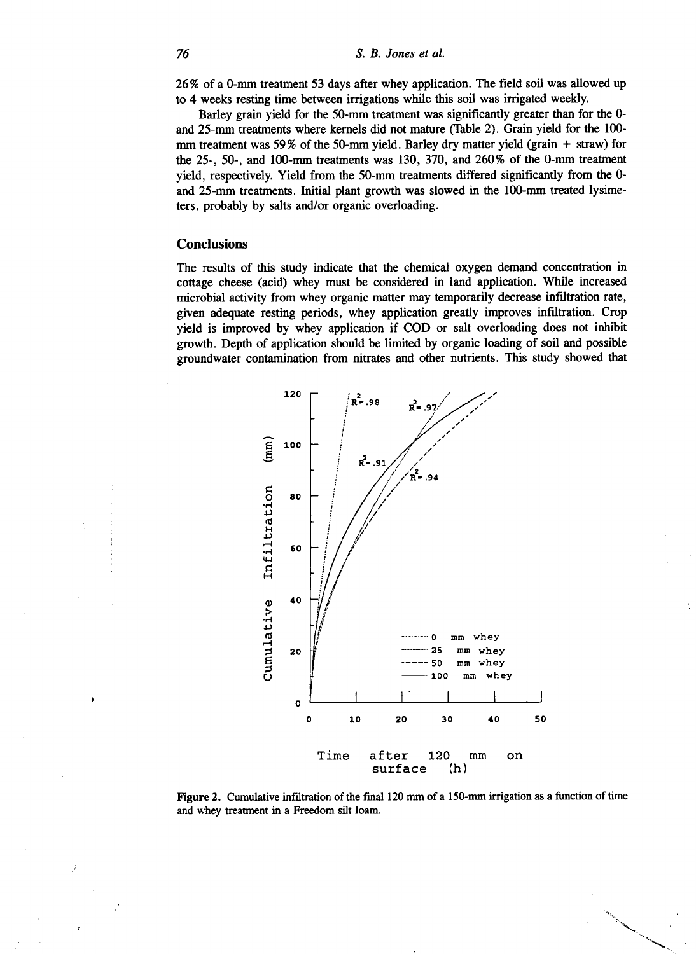26% of a 0-mm treatment 53 days after whey application. The field soil was allowed up to 4 weeks resting time between irrigations while this soil was irrigated weekly.

Barley grain yield for the 50-mm treatment was significantly greater than for the 0 and 25-mm treatments where kernels did not mature (Table 2). Grain yield for the 100 mm treatment was 59% of the 50-mm yield. Barley dry matter yield (grain + straw) for the 25-, 50-, and 100-mm treatments was 130, 370, and 260% of the 0-mm treatment yield, respectively. Yield from the 50-mm treatments differed significantly from the 0 and 25-mm treatments. Initial plant growth was slowed in the 100-mm treated lysimeters, probably by salts and/or organic overloading.

## **Conclusions**

The results of this study indicate that the chemical oxygen demand concentration in cottage cheese (acid) whey must be considered in land application. While increased microbial activity from whey organic matter may temporarily decrease infiltration rate, given adequate resting periods, whey application greatly improves infiltration. Crop yield is improved by whey application if COD or salt overloading does not inhibit growth. Depth of application should be limited by organic loading of soil and possible groundwater contamination from nitrates and other nutrients. This study showed that



Figure 2. Cumulative infiltration of the final 120 mm of a 150-mm irrigation as a function of time and whey treatment in a Freedom silt loam.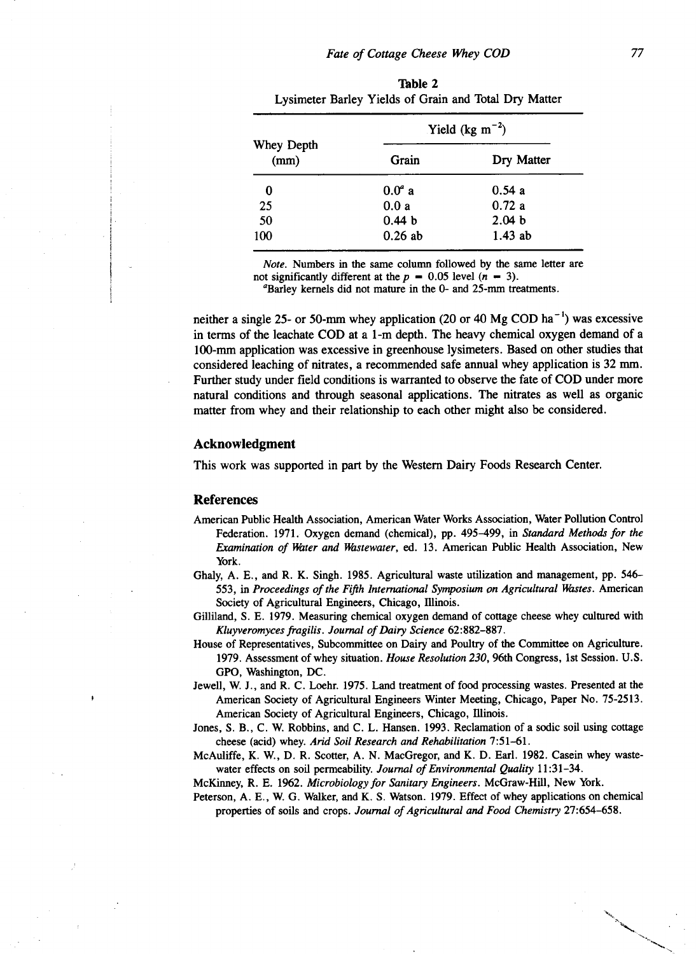|                    | Yield (kg $m^{-2}$ ) |                   |  |
|--------------------|----------------------|-------------------|--|
| Whey Depth<br>(mm) | Grain                | Dry Matter        |  |
| 0                  | $0.0a$ a             | 0.54a             |  |
| 25                 | 0.0a                 | 0.72a             |  |
| 50                 | 0.44 <sub>b</sub>    | 2.04 <sub>b</sub> |  |
| 100                | $0.26$ ab            | $1.43$ ab         |  |

**'Fable** 2 Lysimeter Barley Yields of Grain and Total Dry Matter

*Note.* Numbers in the same column followed by the same letter are not significantly different at the  $p = 0.05$  level  $(n - 3)$ .

°Barley kernels did not mature in the 0- and 25-mm treatments.

neither a single 25- or 50-mm whey application (20 or 40 Mg COD ha<sup> $-1$ </sup>) was excessive in terms of the leachate COD at a 1-m depth. The heavy chemical oxygen demand of a 100-mm application was excessive in greenhouse lysimeters. Based on other studies that considered leaching of nitrates, a recommended safe annual whey application is 32 mm. Further study under field conditions is warranted to observe the fate of COD under more natural conditions and through seasonal applications. The nitrates as well as organic matter from whey and their relationship to each other might also be considered.

## **Acknowledgment**

This work was supported in part by the Western Dairy Foods Research Center.

#### **References**

- American Public Health Association, American Water Works Association, Water Pollution Control Federation. 1971. Oxygen demand (chemical), pp. 495-499, in *Standard Methods for the Examination of Water and Wastewater,* ed. 13. American Public Health Association, New York.
- Ghaly, A. E., and R. K. Singh. 1985. Agricultural waste utilization and management, pp. 546- 553, in *Proceedings of the Fifth International Symposium on Agricultural Wastes.* American Society of Agricultural Engineers, Chicago, Illinois.
- Gilliland, S. E. 1979. Measuring chemical oxygen demand of cottage cheese whey cultured with *Kluyveromyces fragilis. Journal of Dairy Science* 62:882-887.
- House of Representatives, Subcommittee on Dairy and Poultry of the Committee on Agriculture. 1979. Assessment of whey situation. *House Resolution 230,* 96th Congress, 1st Session. U.S. GPO, Washington, DC.
- Jewell, W. J., and R. C. Loehr. 1975. Land treatment of food processing wastes. Presented at the American Society of Agricultural Engineers Winter Meeting, Chicago, Paper No. 75-2513. American Society of Agricultural Engineers, Chicago, Illinois.
- Jones, S. B., C. W. Robbins, and C. L. Hansen. 1993. Reclamation of a sodic soil using cottage cheese (acid) whey. *Arid Soil Research and Rehabilitation* 7:51-61.
- McAuliffe, K. W., D. R. Scoffer, A. N. MacGregor, and K. D. Earl. 1982. Casein whey wastewater effects on soil permeability. *Journal of Environmental Quality* 11:31-34.

McKinney, R. E. 1962. *Microbiology for Sanitary Engineers.* McGraw-Hill, New York.

Peterson, A. E., W. G. Walker, and K. S. Watson. 1979. Effect of whey applications on chemical properties of soils and crops. *Journal of Agricultural and Food Chemistry* 27:654-658.